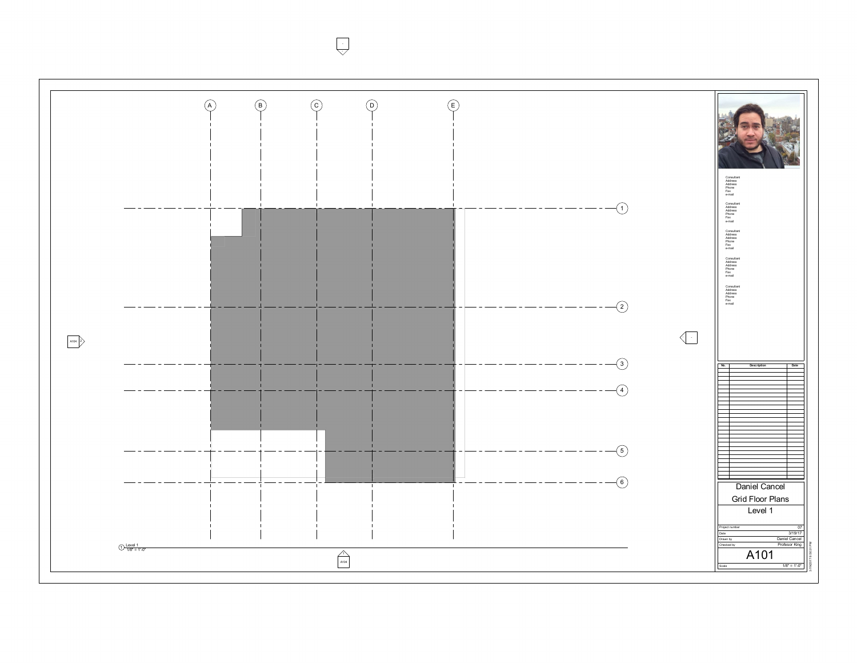$\bigcup$ --

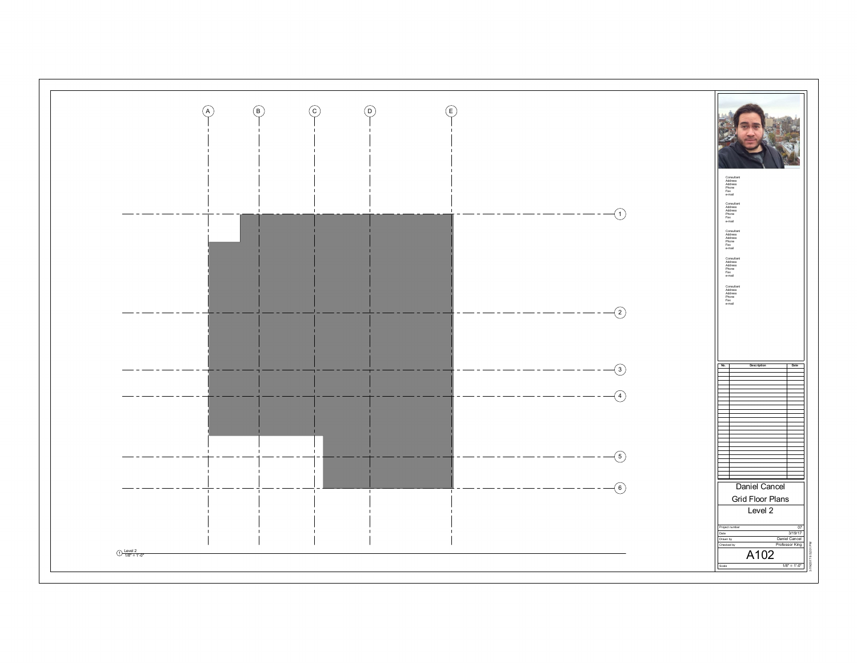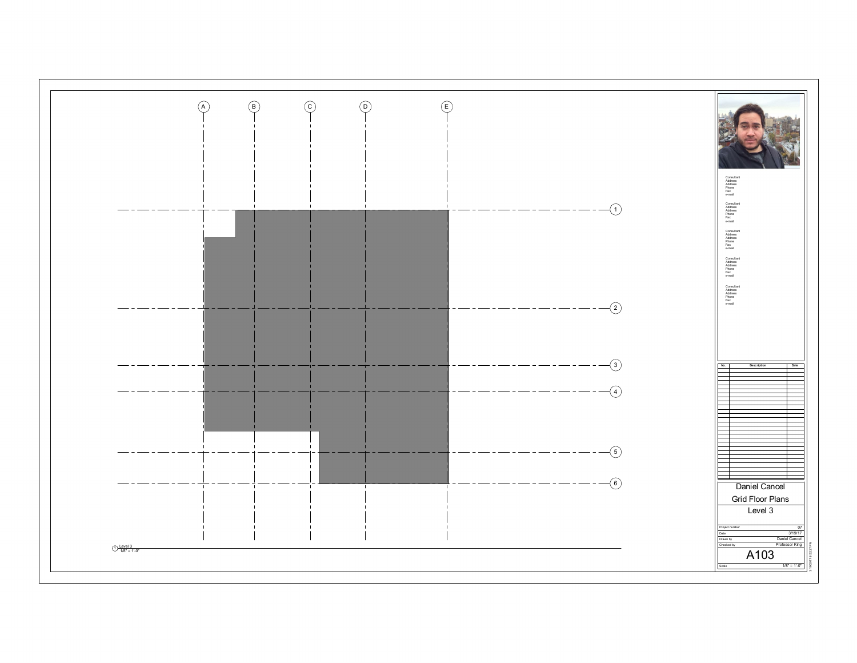